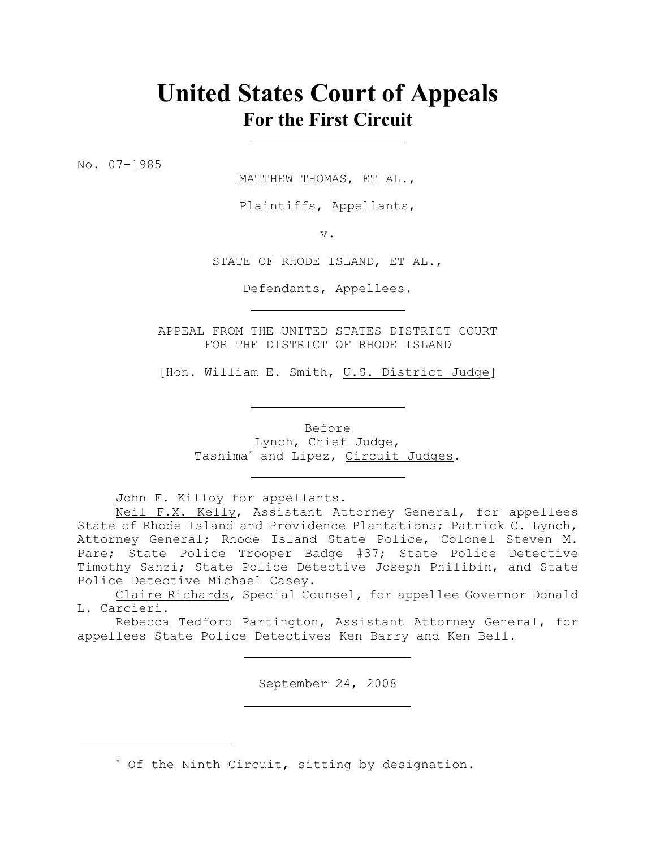## **United States Court of Appeals For the First Circuit**

No. 07-1985

MATTHEW THOMAS, ET AL.,

Plaintiffs, Appellants,

v.

STATE OF RHODE ISLAND, ET AL.,

Defendants, Appellees.

APPEAL FROM THE UNITED STATES DISTRICT COURT FOR THE DISTRICT OF RHODE ISLAND

[Hon. William E. Smith, U.S. District Judge]

Before Lynch, Chief Judge, Tashima<sup>\*</sup> and Lipez, Circuit Judges.

John F. Killoy for appellants.

Neil F.X. Kelly, Assistant Attorney General, for appellees State of Rhode Island and Providence Plantations; Patrick C. Lynch, Attorney General; Rhode Island State Police, Colonel Steven M. Pare; State Police Trooper Badge #37; State Police Detective Timothy Sanzi; State Police Detective Joseph Philibin, and State Police Detective Michael Casey.

Claire Richards, Special Counsel, for appellee Governor Donald L. Carcieri.

Rebecca Tedford Partington, Assistant Attorney General, for appellees State Police Detectives Ken Barry and Ken Bell.

September 24, 2008

\* Of the Ninth Circuit, sitting by designation.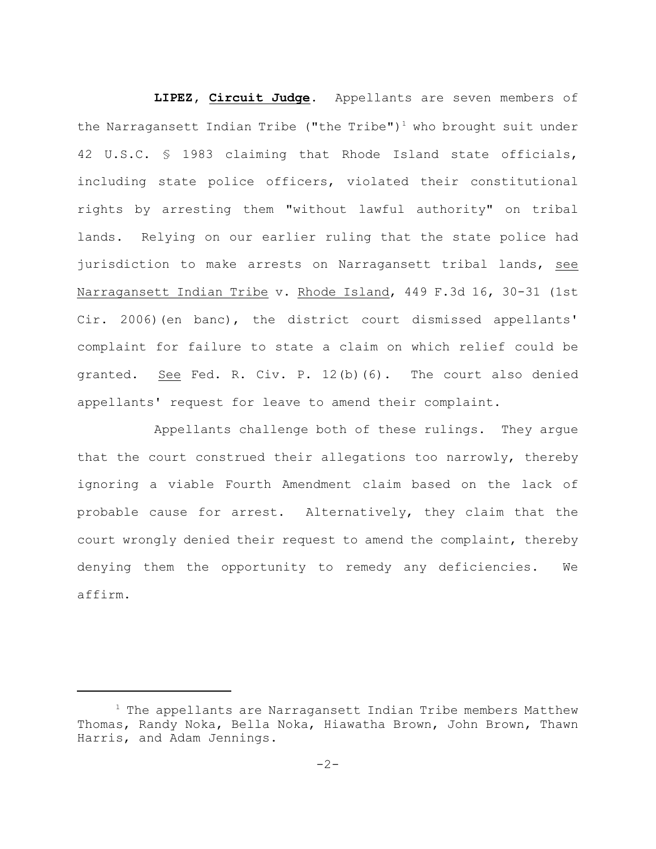**LIPEZ, Circuit Judge**. Appellants are seven members of the Narragansett Indian Tribe ("the Tribe")<sup>1</sup> who brought suit under 42 U.S.C. § 1983 claiming that Rhode Island state officials, including state police officers, violated their constitutional rights by arresting them "without lawful authority" on tribal lands. Relying on our earlier ruling that the state police had jurisdiction to make arrests on Narragansett tribal lands, see Narragansett Indian Tribe v. Rhode Island, 449 F.3d 16, 30-31 (1st Cir. 2006)(en banc), the district court dismissed appellants' complaint for failure to state a claim on which relief could be granted. See Fed. R. Civ. P. 12(b)(6). The court also denied appellants' request for leave to amend their complaint.

Appellants challenge both of these rulings. They argue that the court construed their allegations too narrowly, thereby ignoring a viable Fourth Amendment claim based on the lack of probable cause for arrest. Alternatively, they claim that the court wrongly denied their request to amend the complaint, thereby denying them the opportunity to remedy any deficiencies. We affirm.

 $1$  The appellants are Narragansett Indian Tribe members Matthew Thomas, Randy Noka, Bella Noka, Hiawatha Brown, John Brown, Thawn Harris, and Adam Jennings.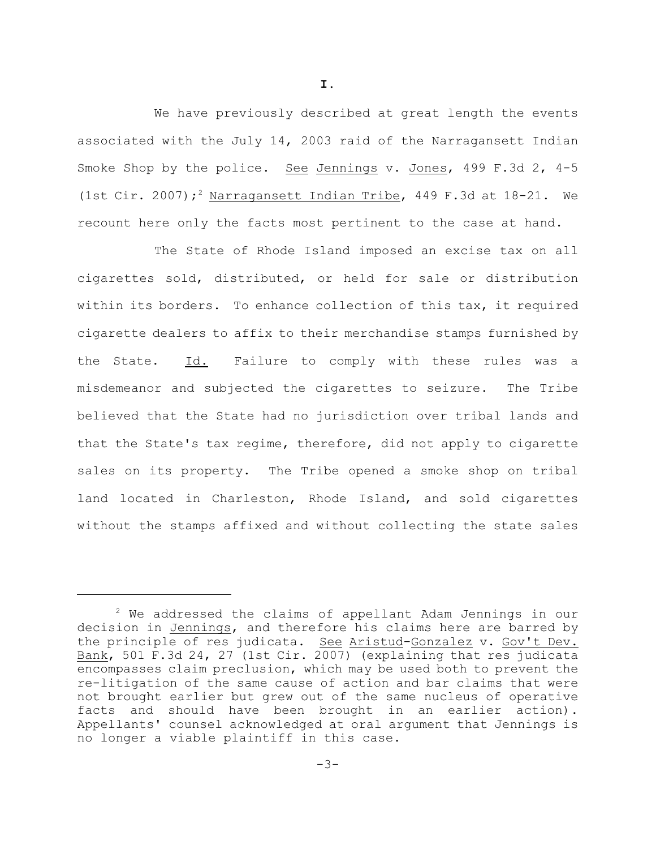We have previously described at great length the events associated with the July 14, 2003 raid of the Narragansett Indian Smoke Shop by the police. See Jennings v. Jones, 499 F.3d 2, 4-5 (1st Cir. 2007);<sup>2</sup> Narragansett Indian Tribe, 449 F.3d at 18-21. We recount here only the facts most pertinent to the case at hand.

The State of Rhode Island imposed an excise tax on all cigarettes sold, distributed, or held for sale or distribution within its borders. To enhance collection of this tax, it required cigarette dealers to affix to their merchandise stamps furnished by the State. Id. Failure to comply with these rules was a misdemeanor and subjected the cigarettes to seizure. The Tribe believed that the State had no jurisdiction over tribal lands and that the State's tax regime, therefore, did not apply to cigarette sales on its property. The Tribe opened a smoke shop on tribal land located in Charleston, Rhode Island, and sold cigarettes without the stamps affixed and without collecting the state sales

 $2$  We addressed the claims of appellant Adam Jennings in our decision in Jennings, and therefore his claims here are barred by the principle of res judicata. See Aristud-Gonzalez v. Gov't Dev. Bank, 501 F.3d 24, 27 (1st Cir. 2007) (explaining that res judicata encompasses claim preclusion, which may be used both to prevent the re-litigation of the same cause of action and bar claims that were not brought earlier but grew out of the same nucleus of operative facts and should have been brought in an earlier action). Appellants' counsel acknowledged at oral argument that Jennings is no longer a viable plaintiff in this case.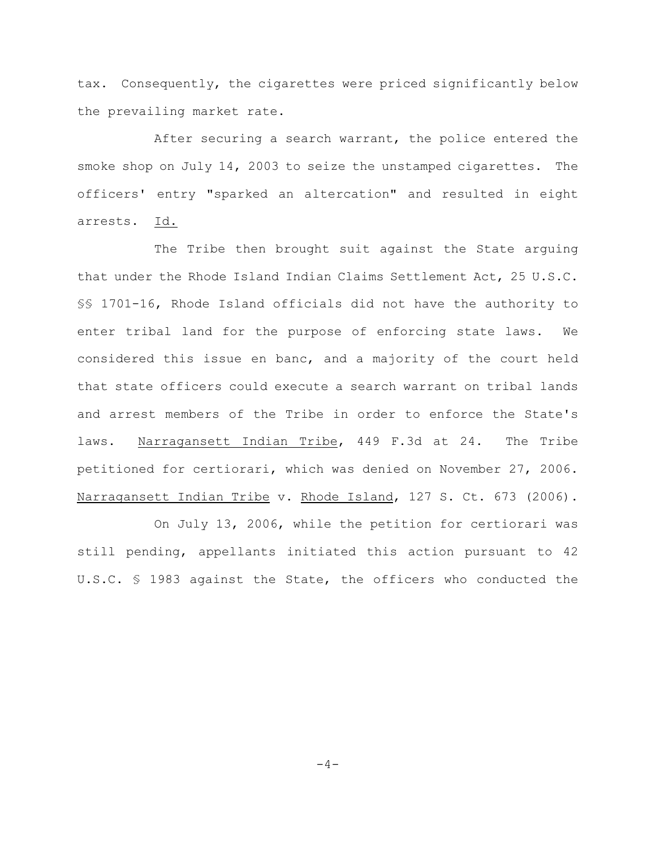tax. Consequently, the cigarettes were priced significantly below the prevailing market rate.

After securing a search warrant, the police entered the smoke shop on July 14, 2003 to seize the unstamped cigarettes. The officers' entry "sparked an altercation" and resulted in eight arrests. Id.

The Tribe then brought suit against the State arguing that under the Rhode Island Indian Claims Settlement Act, 25 U.S.C. §§ 1701-16, Rhode Island officials did not have the authority to enter tribal land for the purpose of enforcing state laws. We considered this issue en banc, and a majority of the court held that state officers could execute a search warrant on tribal lands and arrest members of the Tribe in order to enforce the State's laws. Narragansett Indian Tribe, 449 F.3d at 24. The Tribe petitioned for certiorari, which was denied on November 27, 2006. Narragansett Indian Tribe v. Rhode Island, 127 S. Ct. 673 (2006).

On July 13, 2006, while the petition for certiorari was still pending, appellants initiated this action pursuant to 42 U.S.C. § 1983 against the State, the officers who conducted the

 $-4-$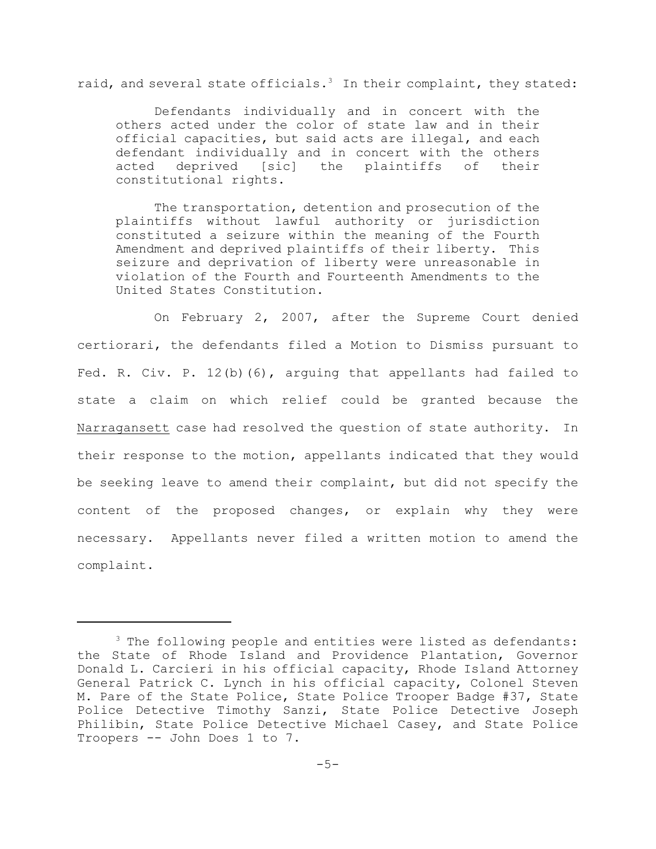raid, and several state officials.<sup>3</sup> In their complaint, they stated:

Defendants individually and in concert with the others acted under the color of state law and in their official capacities, but said acts are illegal, and each defendant individually and in concert with the others acted deprived [sic] the plaintiffs of their constitutional rights.

The transportation, detention and prosecution of the plaintiffs without lawful authority or jurisdiction constituted a seizure within the meaning of the Fourth Amendment and deprived plaintiffs of their liberty. This seizure and deprivation of liberty were unreasonable in violation of the Fourth and Fourteenth Amendments to the United States Constitution.

On February 2, 2007, after the Supreme Court denied certiorari, the defendants filed a Motion to Dismiss pursuant to Fed. R. Civ. P. 12(b)(6), arguing that appellants had failed to state a claim on which relief could be granted because the Narragansett case had resolved the question of state authority. In their response to the motion, appellants indicated that they would be seeking leave to amend their complaint, but did not specify the content of the proposed changes, or explain why they were necessary. Appellants never filed a written motion to amend the complaint.

 $3$  The following people and entities were listed as defendants: the State of Rhode Island and Providence Plantation, Governor Donald L. Carcieri in his official capacity, Rhode Island Attorney General Patrick C. Lynch in his official capacity, Colonel Steven M. Pare of the State Police, State Police Trooper Badge #37, State Police Detective Timothy Sanzi, State Police Detective Joseph Philibin, State Police Detective Michael Casey, and State Police Troopers -- John Does 1 to 7.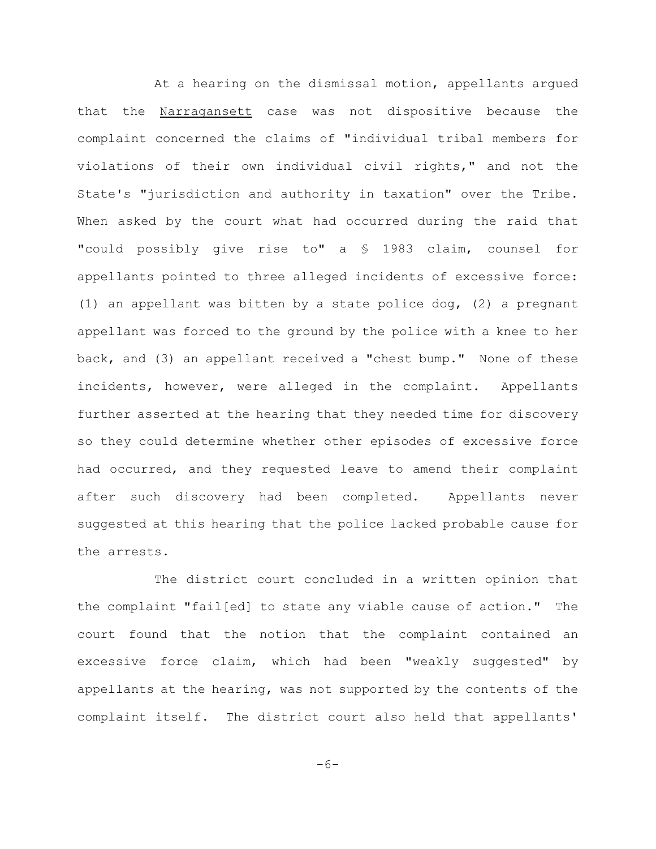At a hearing on the dismissal motion, appellants argued that the Narragansett case was not dispositive because the complaint concerned the claims of "individual tribal members for violations of their own individual civil rights," and not the State's "jurisdiction and authority in taxation" over the Tribe. When asked by the court what had occurred during the raid that "could possibly give rise to" a § 1983 claim, counsel for appellants pointed to three alleged incidents of excessive force: (1) an appellant was bitten by a state police dog, (2) a pregnant appellant was forced to the ground by the police with a knee to her back, and (3) an appellant received a "chest bump." None of these incidents, however, were alleged in the complaint. Appellants further asserted at the hearing that they needed time for discovery so they could determine whether other episodes of excessive force had occurred, and they requested leave to amend their complaint after such discovery had been completed. Appellants never suggested at this hearing that the police lacked probable cause for the arrests.

The district court concluded in a written opinion that the complaint "fail[ed] to state any viable cause of action." The court found that the notion that the complaint contained an excessive force claim, which had been "weakly suggested" by appellants at the hearing, was not supported by the contents of the complaint itself. The district court also held that appellants'

 $-6-$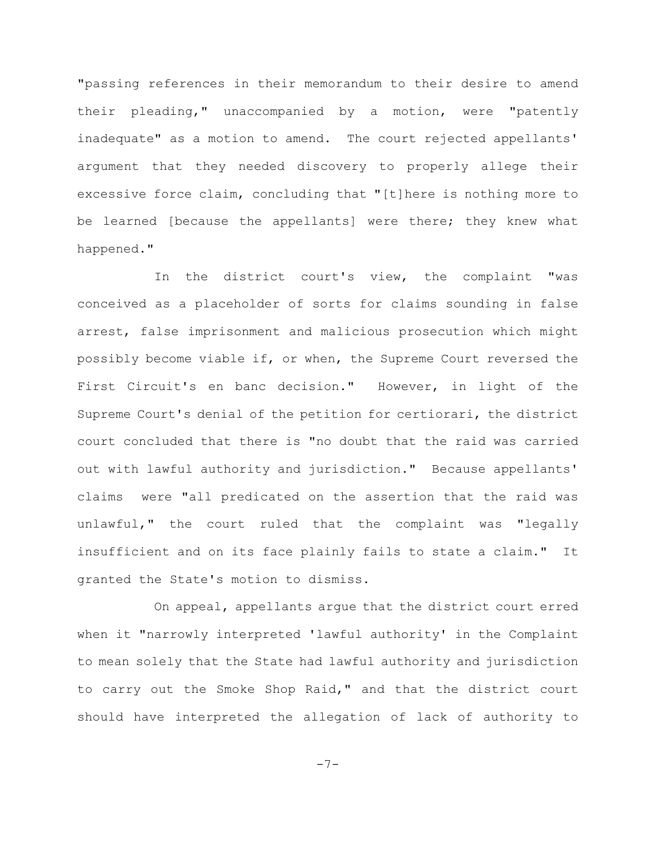"passing references in their memorandum to their desire to amend their pleading," unaccompanied by a motion, were "patently inadequate" as a motion to amend. The court rejected appellants' argument that they needed discovery to properly allege their excessive force claim, concluding that "[t]here is nothing more to be learned [because the appellants] were there; they knew what happened."

In the district court's view, the complaint "was conceived as a placeholder of sorts for claims sounding in false arrest, false imprisonment and malicious prosecution which might possibly become viable if, or when, the Supreme Court reversed the First Circuit's en banc decision." However, in light of the Supreme Court's denial of the petition for certiorari, the district court concluded that there is "no doubt that the raid was carried out with lawful authority and jurisdiction." Because appellants' claims were "all predicated on the assertion that the raid was unlawful," the court ruled that the complaint was "legally insufficient and on its face plainly fails to state a claim." It granted the State's motion to dismiss.

On appeal, appellants argue that the district court erred when it "narrowly interpreted 'lawful authority' in the Complaint to mean solely that the State had lawful authority and jurisdiction to carry out the Smoke Shop Raid," and that the district court should have interpreted the allegation of lack of authority to

-7-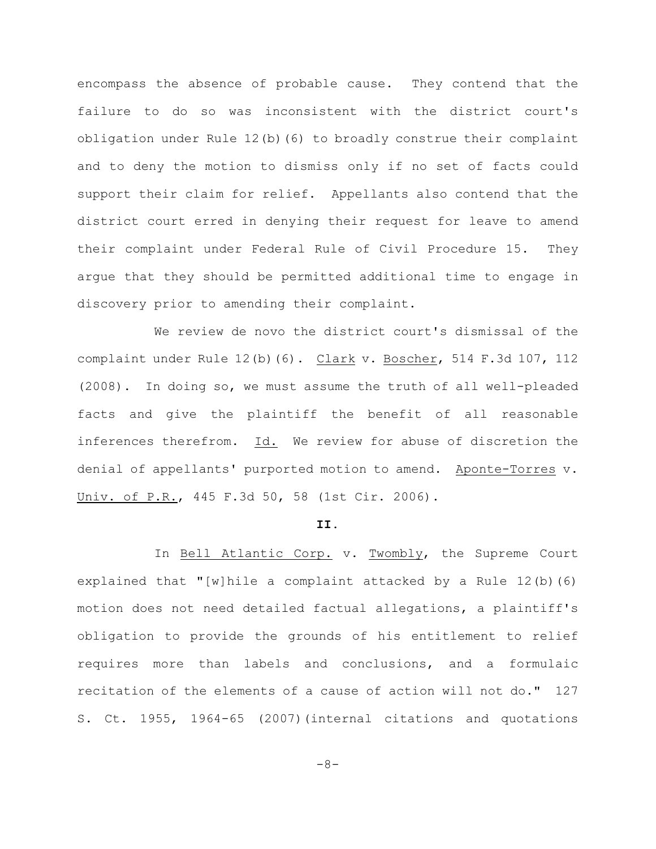encompass the absence of probable cause. They contend that the failure to do so was inconsistent with the district court's obligation under Rule 12(b)(6) to broadly construe their complaint and to deny the motion to dismiss only if no set of facts could support their claim for relief. Appellants also contend that the district court erred in denying their request for leave to amend their complaint under Federal Rule of Civil Procedure 15. They argue that they should be permitted additional time to engage in discovery prior to amending their complaint.

We review de novo the district court's dismissal of the complaint under Rule 12(b)(6). Clark v. Boscher, 514 F.3d 107, 112 (2008). In doing so, we must assume the truth of all well-pleaded facts and give the plaintiff the benefit of all reasonable inferences therefrom. Id. We review for abuse of discretion the denial of appellants' purported motion to amend. Aponte-Torres v. Univ. of P.R., 445 F.3d 50, 58 (1st Cir. 2006).

## **II.**

In Bell Atlantic Corp. v. Twombly, the Supreme Court explained that "[w]hile a complaint attacked by a Rule  $12(b)(6)$ motion does not need detailed factual allegations, a plaintiff's obligation to provide the grounds of his entitlement to relief requires more than labels and conclusions, and a formulaic recitation of the elements of a cause of action will not do." 127 S. Ct. 1955, 1964-65 (2007)(internal citations and quotations

-8-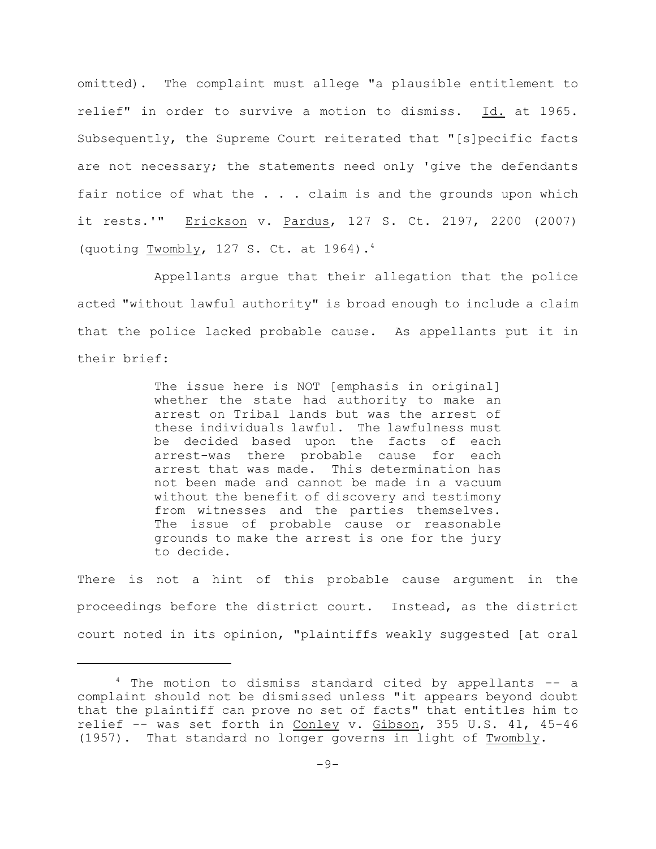omitted). The complaint must allege "a plausible entitlement to relief" in order to survive a motion to dismiss. Id. at 1965. Subsequently, the Supreme Court reiterated that "[s]pecific facts are not necessary; the statements need only 'give the defendants fair notice of what the  $\ldots$  . claim is and the grounds upon which it rests.'" Erickson v. Pardus, 127 S. Ct. 2197, 2200 (2007) (quoting Twombly, 127 S. Ct. at  $1964$ ).<sup>4</sup>

Appellants argue that their allegation that the police acted "without lawful authority" is broad enough to include a claim that the police lacked probable cause. As appellants put it in their brief:

> The issue here is NOT [emphasis in original] whether the state had authority to make an arrest on Tribal lands but was the arrest of these individuals lawful. The lawfulness must be decided based upon the facts of each arrest-was there probable cause for each arrest that was made. This determination has not been made and cannot be made in a vacuum without the benefit of discovery and testimony from witnesses and the parties themselves. The issue of probable cause or reasonable grounds to make the arrest is one for the jury to decide.

There is not a hint of this probable cause argument in the proceedings before the district court. Instead, as the district court noted in its opinion, "plaintiffs weakly suggested [at oral

 $4$  The motion to dismiss standard cited by appellants  $-$  a complaint should not be dismissed unless "it appears beyond doubt that the plaintiff can prove no set of facts" that entitles him to relief -- was set forth in Conley v. Gibson, 355 U.S. 41, 45-46 (1957). That standard no longer governs in light of Twombly.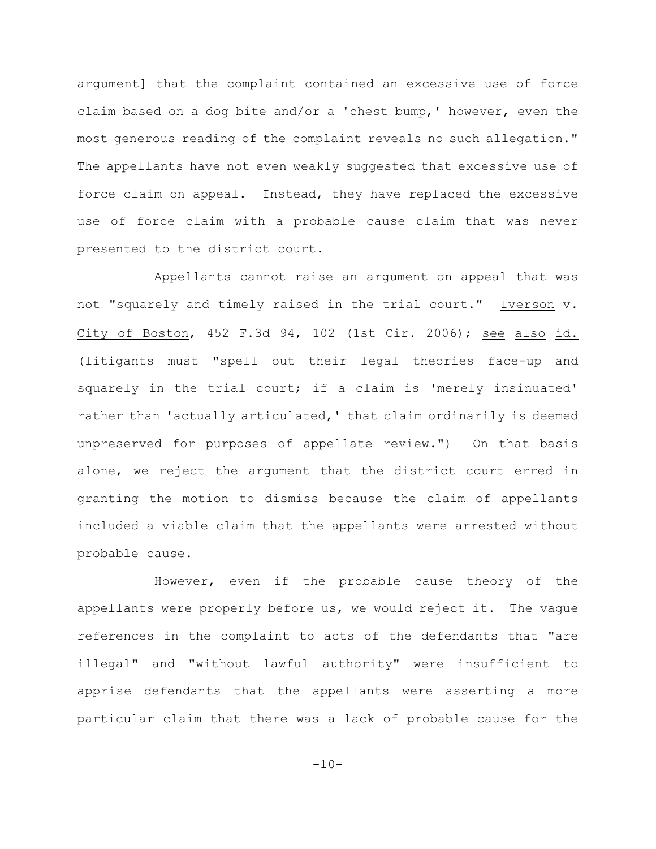argument] that the complaint contained an excessive use of force claim based on a dog bite and/or a 'chest bump,' however, even the most generous reading of the complaint reveals no such allegation." The appellants have not even weakly suggested that excessive use of force claim on appeal. Instead, they have replaced the excessive use of force claim with a probable cause claim that was never presented to the district court.

Appellants cannot raise an argument on appeal that was not "squarely and timely raised in the trial court." Iverson v. City of Boston, 452 F.3d 94, 102 (1st Cir. 2006); see also id. (litigants must "spell out their legal theories face-up and squarely in the trial court; if a claim is 'merely insinuated' rather than 'actually articulated,' that claim ordinarily is deemed unpreserved for purposes of appellate review.") On that basis alone, we reject the argument that the district court erred in granting the motion to dismiss because the claim of appellants included a viable claim that the appellants were arrested without probable cause.

However, even if the probable cause theory of the appellants were properly before us, we would reject it. The vague references in the complaint to acts of the defendants that "are illegal" and "without lawful authority" were insufficient to apprise defendants that the appellants were asserting a more particular claim that there was a lack of probable cause for the

 $-10-$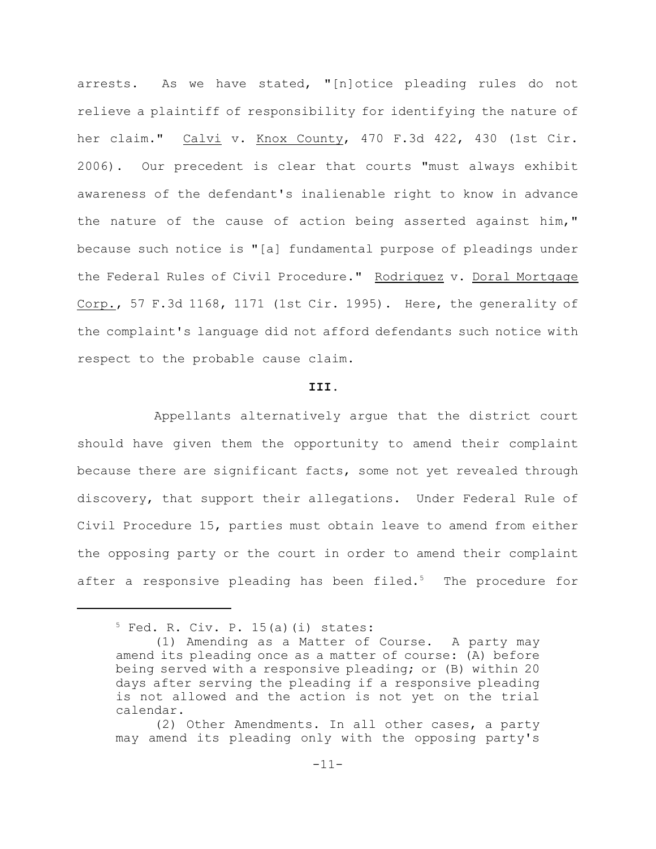arrests. As we have stated, "[n]otice pleading rules do not relieve a plaintiff of responsibility for identifying the nature of her claim." Calvi v. Knox County, 470 F.3d 422, 430 (1st Cir. 2006). Our precedent is clear that courts "must always exhibit awareness of the defendant's inalienable right to know in advance the nature of the cause of action being asserted against him," because such notice is "[a] fundamental purpose of pleadings under the Federal Rules of Civil Procedure." Rodriguez v. Doral Mortgage Corp., 57 F.3d 1168, 1171 (1st Cir. 1995). Here, the generality of the complaint's language did not afford defendants such notice with respect to the probable cause claim.

## **III.**

Appellants alternatively argue that the district court should have given them the opportunity to amend their complaint because there are significant facts, some not yet revealed through discovery, that support their allegations. Under Federal Rule of Civil Procedure 15, parties must obtain leave to amend from either the opposing party or the court in order to amend their complaint after a responsive pleading has been filed.<sup>5</sup> The procedure for

 $5$  Fed. R. Civ. P. 15(a)(i) states:

<sup>(1)</sup> Amending as a Matter of Course. A party may amend its pleading once as a matter of course: (A) before being served with a responsive pleading; or (B) within 20 days after serving the pleading if a responsive pleading is not allowed and the action is not yet on the trial calendar.

<sup>(2)</sup> Other Amendments. In all other cases, a party may amend its pleading only with the opposing party's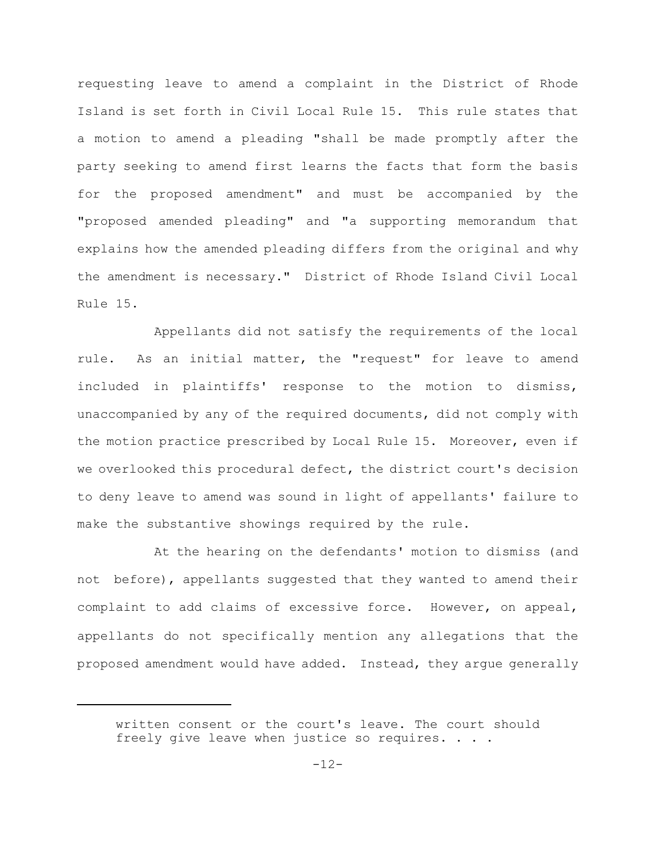requesting leave to amend a complaint in the District of Rhode Island is set forth in Civil Local Rule 15. This rule states that a motion to amend a pleading "shall be made promptly after the party seeking to amend first learns the facts that form the basis for the proposed amendment" and must be accompanied by the "proposed amended pleading" and "a supporting memorandum that explains how the amended pleading differs from the original and why the amendment is necessary." District of Rhode Island Civil Local Rule 15.

Appellants did not satisfy the requirements of the local rule. As an initial matter, the "request" for leave to amend included in plaintiffs' response to the motion to dismiss, unaccompanied by any of the required documents, did not comply with the motion practice prescribed by Local Rule 15. Moreover, even if we overlooked this procedural defect, the district court's decision to deny leave to amend was sound in light of appellants' failure to make the substantive showings required by the rule.

At the hearing on the defendants' motion to dismiss (and not before), appellants suggested that they wanted to amend their complaint to add claims of excessive force. However, on appeal, appellants do not specifically mention any allegations that the proposed amendment would have added. Instead, they argue generally

written consent or the court's leave. The court should freely give leave when justice so requires. . . .